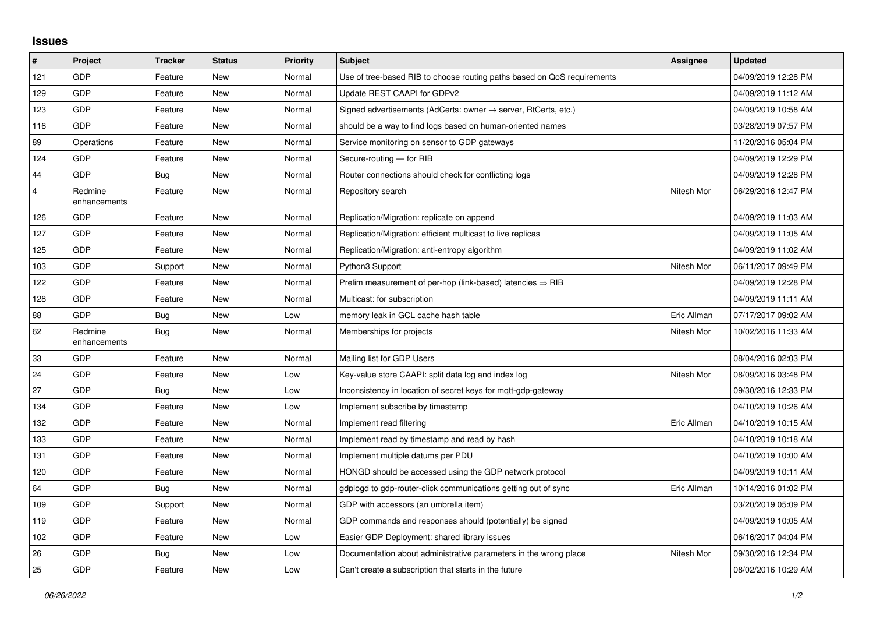## **Issues**

| #              | Project                 | <b>Tracker</b> | <b>Status</b> | <b>Priority</b> | <b>Subject</b>                                                             | Assignee    | <b>Updated</b>      |
|----------------|-------------------------|----------------|---------------|-----------------|----------------------------------------------------------------------------|-------------|---------------------|
| 121            | GDP                     | Feature        | <b>New</b>    | Normal          | Use of tree-based RIB to choose routing paths based on QoS requirements    |             | 04/09/2019 12:28 PM |
| 129            | GDP                     | Feature        | <b>New</b>    | Normal          | Update REST CAAPI for GDPv2                                                |             | 04/09/2019 11:12 AM |
| 123            | GDP                     | Feature        | <b>New</b>    | Normal          | Signed advertisements (AdCerts: owner $\rightarrow$ server, RtCerts, etc.) |             | 04/09/2019 10:58 AM |
| 116            | GDP                     | Feature        | <b>New</b>    | Normal          | should be a way to find logs based on human-oriented names                 |             | 03/28/2019 07:57 PM |
| 89             | Operations              | Feature        | <b>New</b>    | Normal          | Service monitoring on sensor to GDP gateways                               |             | 11/20/2016 05:04 PM |
| 124            | GDP                     | Feature        | New           | Normal          | Secure-routing - for RIB                                                   |             | 04/09/2019 12:29 PM |
| 44             | GDP                     | Bug            | <b>New</b>    | Normal          | Router connections should check for conflicting logs                       |             | 04/09/2019 12:28 PM |
| $\overline{4}$ | Redmine<br>enhancements | Feature        | New           | Normal          | Repository search                                                          | Nitesh Mor  | 06/29/2016 12:47 PM |
| 126            | GDP                     | Feature        | <b>New</b>    | Normal          | Replication/Migration: replicate on append                                 |             | 04/09/2019 11:03 AM |
| 127            | GDP                     | Feature        | <b>New</b>    | Normal          | Replication/Migration: efficient multicast to live replicas                |             | 04/09/2019 11:05 AM |
| 125            | GDP                     | Feature        | New           | Normal          | Replication/Migration: anti-entropy algorithm                              |             | 04/09/2019 11:02 AM |
| 103            | GDP                     | Support        | <b>New</b>    | Normal          | Python3 Support                                                            | Nitesh Mor  | 06/11/2017 09:49 PM |
| 122            | GDP                     | Feature        | <b>New</b>    | Normal          | Prelim measurement of per-hop (link-based) latencies $\Rightarrow$ RIB     |             | 04/09/2019 12:28 PM |
| 128            | GDP                     | Feature        | <b>New</b>    | Normal          | Multicast: for subscription                                                |             | 04/09/2019 11:11 AM |
| 88             | GDP                     | Bug            | <b>New</b>    | Low             | memory leak in GCL cache hash table                                        | Eric Allman | 07/17/2017 09:02 AM |
| 62             | Redmine<br>enhancements | Bug            | <b>New</b>    | Normal          | Memberships for projects                                                   | Nitesh Mor  | 10/02/2016 11:33 AM |
| 33             | GDP                     | Feature        | <b>New</b>    | Normal          | Mailing list for GDP Users                                                 |             | 08/04/2016 02:03 PM |
| 24             | GDP                     | Feature        | <b>New</b>    | Low             | Key-value store CAAPI: split data log and index log                        | Nitesh Mor  | 08/09/2016 03:48 PM |
| 27             | GDP                     | <b>Bug</b>     | <b>New</b>    | Low             | Inconsistency in location of secret keys for mqtt-gdp-gateway              |             | 09/30/2016 12:33 PM |
| 134            | GDP                     | Feature        | <b>New</b>    | Low             | Implement subscribe by timestamp                                           |             | 04/10/2019 10:26 AM |
| 132            | <b>GDP</b>              | Feature        | <b>New</b>    | Normal          | Implement read filtering                                                   | Eric Allman | 04/10/2019 10:15 AM |
| 133            | GDP                     | Feature        | <b>New</b>    | Normal          | Implement read by timestamp and read by hash                               |             | 04/10/2019 10:18 AM |
| 131            | GDP                     | Feature        | <b>New</b>    | Normal          | Implement multiple datums per PDU                                          |             | 04/10/2019 10:00 AM |
| 120            | GDP                     | Feature        | <b>New</b>    | Normal          | HONGD should be accessed using the GDP network protocol                    |             | 04/09/2019 10:11 AM |
| 64             | GDP                     | <b>Bug</b>     | <b>New</b>    | Normal          | gdplogd to gdp-router-click communications getting out of sync             | Eric Allman | 10/14/2016 01:02 PM |
| 109            | GDP                     | Support        | <b>New</b>    | Normal          | GDP with accessors (an umbrella item)                                      |             | 03/20/2019 05:09 PM |
| 119            | GDP                     | Feature        | <b>New</b>    | Normal          | GDP commands and responses should (potentially) be signed                  |             | 04/09/2019 10:05 AM |
| 102            | GDP                     | Feature        | New           | Low             | Easier GDP Deployment: shared library issues                               |             | 06/16/2017 04:04 PM |
| 26             | GDP                     | Bug            | <b>New</b>    | Low             | Documentation about administrative parameters in the wrong place           | Nitesh Mor  | 09/30/2016 12:34 PM |
| 25             | GDP                     | Feature        | <b>New</b>    | Low             | Can't create a subscription that starts in the future                      |             | 08/02/2016 10:29 AM |